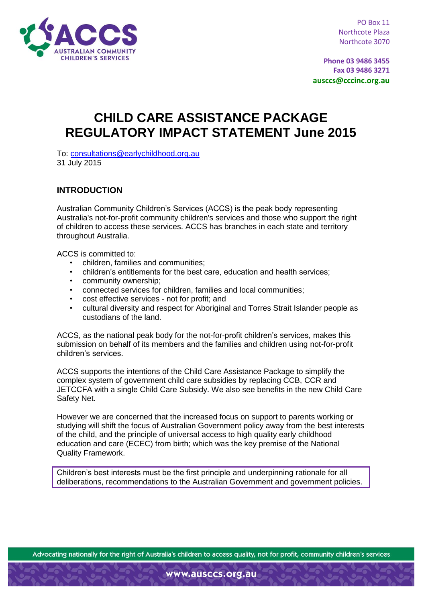

PO Box 11 Northcote Plaza Northcote 3070

**Phone 03 9486 3455 Fax 03 9486 3271 ausccs@cccinc.org.au**

# **CHILD CARE ASSISTANCE PACKAGE REGULATORY IMPACT STATEMENT June 2015**

To: [consultations@earlychildhood.org.au](mailto:consultations@earlychildhood.org.au) 31 July 2015

## **INTRODUCTION**

Australian Community Children's Services (ACCS) is the peak body representing Australia's not-for-profit community children's services and those who support the right of children to access these services. ACCS has branches in each state and territory throughout Australia.

ACCS is committed to:

- children, families and communities;
- children's entitlements for the best care, education and health services;
- community ownership;
- connected services for children, families and local communities;
- cost effective services not for profit; and
- cultural diversity and respect for Aboriginal and Torres Strait Islander people as custodians of the land.

ACCS, as the national peak body for the not-for-profit children's services, makes this submission on behalf of its members and the families and children using not-for-profit children's services.

ACCS supports the intentions of the Child Care Assistance Package to simplify the complex system of government child care subsidies by replacing CCB, CCR and JETCCFA with a single Child Care Subsidy. We also see benefits in the new Child Care Safety Net.

However we are concerned that the increased focus on support to parents working or studying will shift the focus of Australian Government policy away from the best interests of the child, and the principle of universal access to high quality early childhood education and care (ECEC) from birth; which was the key premise of the National Quality Framework.

Children's best interests must be the first principle and underpinning rationale for all deliberations, recommendations to the Australian Government and government policies.

Advocating nationally for the right of Australia's children to access quality, not for profit, community children's services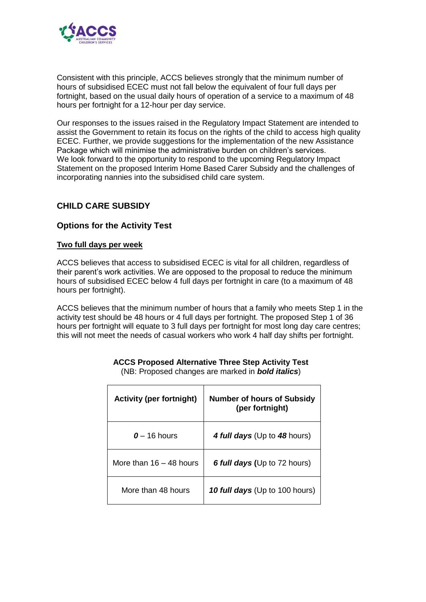

Consistent with this principle, ACCS believes strongly that the minimum number of hours of subsidised ECEC must not fall below the equivalent of four full days per fortnight, based on the usual daily hours of operation of a service to a maximum of 48 hours per fortnight for a 12-hour per day service.

Our responses to the issues raised in the Regulatory Impact Statement are intended to assist the Government to retain its focus on the rights of the child to access high quality ECEC. Further, we provide suggestions for the implementation of the new Assistance Package which will minimise the administrative burden on children's services. We look forward to the opportunity to respond to the upcoming Regulatory Impact Statement on the proposed Interim Home Based Carer Subsidy and the challenges of incorporating nannies into the subsidised child care system.

## **CHILD CARE SUBSIDY**

#### **Options for the Activity Test**

#### **Two full days per week**

ACCS believes that access to subsidised ECEC is vital for all children, regardless of their parent's work activities. We are opposed to the proposal to reduce the minimum hours of subsidised ECEC below 4 full days per fortnight in care (to a maximum of 48 hours per fortnight).

ACCS believes that the minimum number of hours that a family who meets Step 1 in the activity test should be 48 hours or 4 full days per fortnight. The proposed Step 1 of 36 hours per fortnight will equate to 3 full days per fortnight for most long day care centres; this will not meet the needs of casual workers who work 4 half day shifts per fortnight.

| <b>Activity (per fortnight)</b> | <b>Number of hours of Subsidy</b><br>(per fortnight) |
|---------------------------------|------------------------------------------------------|
| $0 - 16$ hours                  | 4 full days (Up to 48 hours)                         |
| More than $16 - 48$ hours       | <b>6 full days (Up to 72 hours)</b>                  |
| More than 48 hours              | 10 full days (Up to 100 hours)                       |

**ACCS Proposed Alternative Three Step Activity Test** (NB: Proposed changes are marked in *bold italics*)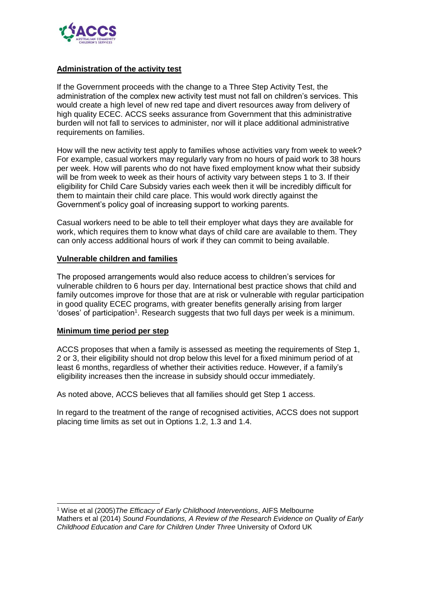

#### **Administration of the activity test**

If the Government proceeds with the change to a Three Step Activity Test, the administration of the complex new activity test must not fall on children's services. This would create a high level of new red tape and divert resources away from delivery of high quality ECEC. ACCS seeks assurance from Government that this administrative burden will not fall to services to administer, nor will it place additional administrative requirements on families.

How will the new activity test apply to families whose activities vary from week to week? For example, casual workers may regularly vary from no hours of paid work to 38 hours per week. How will parents who do not have fixed employment know what their subsidy will be from week to week as their hours of activity vary between steps 1 to 3. If their eligibility for Child Care Subsidy varies each week then it will be incredibly difficult for them to maintain their child care place. This would work directly against the Government's policy goal of increasing support to working parents.

Casual workers need to be able to tell their employer what days they are available for work, which requires them to know what days of child care are available to them. They can only access additional hours of work if they can commit to being available.

#### **Vulnerable children and families**

The proposed arrangements would also reduce access to children's services for vulnerable children to 6 hours per day. International best practice shows that child and family outcomes improve for those that are at risk or vulnerable with regular participation in good quality ECEC programs, with greater benefits generally arising from larger 'doses' of participation<sup>1</sup>. Research suggests that two full days per week is a minimum.

#### **Minimum time period per step**

ACCS proposes that when a family is assessed as meeting the requirements of Step 1, 2 or 3, their eligibility should not drop below this level for a fixed minimum period of at least 6 months, regardless of whether their activities reduce. However, if a family's eligibility increases then the increase in subsidy should occur immediately.

As noted above, ACCS believes that all families should get Step 1 access.

In regard to the treatment of the range of recognised activities, ACCS does not support placing time limits as set out in Options 1.2, 1.3 and 1.4.

<sup>-</sup><sup>1</sup> Wise et al (2005)*The Efficacy of Early Childhood Interventions*, AIFS Melbourne Mathers et al (2014) *Sound Foundations, A Review of the Research Evidence on Quality of Early Childhood Education and Care for Children Under Three* University of Oxford UK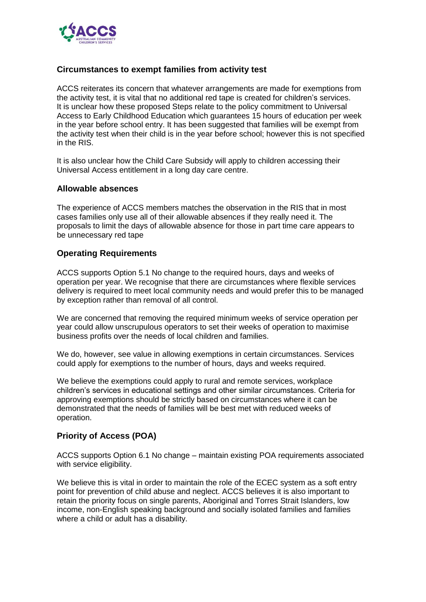

## **Circumstances to exempt families from activity test**

ACCS reiterates its concern that whatever arrangements are made for exemptions from the activity test, it is vital that no additional red tape is created for children's services. It is unclear how these proposed Steps relate to the policy commitment to Universal Access to Early Childhood Education which guarantees 15 hours of education per week in the year before school entry. It has been suggested that families will be exempt from the activity test when their child is in the year before school; however this is not specified in the RIS.

It is also unclear how the Child Care Subsidy will apply to children accessing their Universal Access entitlement in a long day care centre.

#### **Allowable absences**

The experience of ACCS members matches the observation in the RIS that in most cases families only use all of their allowable absences if they really need it. The proposals to limit the days of allowable absence for those in part time care appears to be unnecessary red tape

#### **Operating Requirements**

ACCS supports Option 5.1 No change to the required hours, days and weeks of operation per year. We recognise that there are circumstances where flexible services delivery is required to meet local community needs and would prefer this to be managed by exception rather than removal of all control.

We are concerned that removing the required minimum weeks of service operation per year could allow unscrupulous operators to set their weeks of operation to maximise business profits over the needs of local children and families.

We do, however, see value in allowing exemptions in certain circumstances. Services could apply for exemptions to the number of hours, days and weeks required.

We believe the exemptions could apply to rural and remote services, workplace children's services in educational settings and other similar circumstances. Criteria for approving exemptions should be strictly based on circumstances where it can be demonstrated that the needs of families will be best met with reduced weeks of operation.

#### **Priority of Access (POA)**

ACCS supports Option 6.1 No change – maintain existing POA requirements associated with service eligibility.

We believe this is vital in order to maintain the role of the ECEC system as a soft entry point for prevention of child abuse and neglect. ACCS believes it is also important to retain the priority focus on single parents, Aboriginal and Torres Strait Islanders, low income, non-English speaking background and socially isolated families and families where a child or adult has a disability.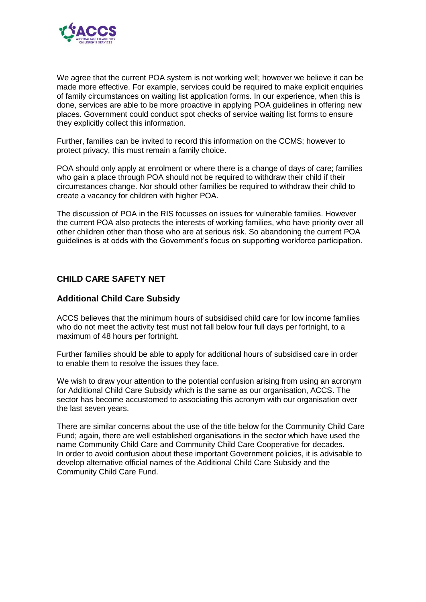

We agree that the current POA system is not working well; however we believe it can be made more effective. For example, services could be required to make explicit enquiries of family circumstances on waiting list application forms. In our experience, when this is done, services are able to be more proactive in applying POA guidelines in offering new places. Government could conduct spot checks of service waiting list forms to ensure they explicitly collect this information.

Further, families can be invited to record this information on the CCMS; however to protect privacy, this must remain a family choice.

POA should only apply at enrolment or where there is a change of days of care; families who gain a place through POA should not be required to withdraw their child if their circumstances change. Nor should other families be required to withdraw their child to create a vacancy for children with higher POA.

The discussion of POA in the RIS focusses on issues for vulnerable families. However the current POA also protects the interests of working families, who have priority over all other children other than those who are at serious risk. So abandoning the current POA guidelines is at odds with the Government's focus on supporting workforce participation.

# **CHILD CARE SAFETY NET**

## **Additional Child Care Subsidy**

ACCS believes that the minimum hours of subsidised child care for low income families who do not meet the activity test must not fall below four full days per fortnight, to a maximum of 48 hours per fortnight.

Further families should be able to apply for additional hours of subsidised care in order to enable them to resolve the issues they face.

We wish to draw your attention to the potential confusion arising from using an acronym for Additional Child Care Subsidy which is the same as our organisation, ACCS. The sector has become accustomed to associating this acronym with our organisation over the last seven years.

There are similar concerns about the use of the title below for the Community Child Care Fund; again, there are well established organisations in the sector which have used the name Community Child Care and Community Child Care Cooperative for decades. In order to avoid confusion about these important Government policies, it is advisable to develop alternative official names of the Additional Child Care Subsidy and the Community Child Care Fund.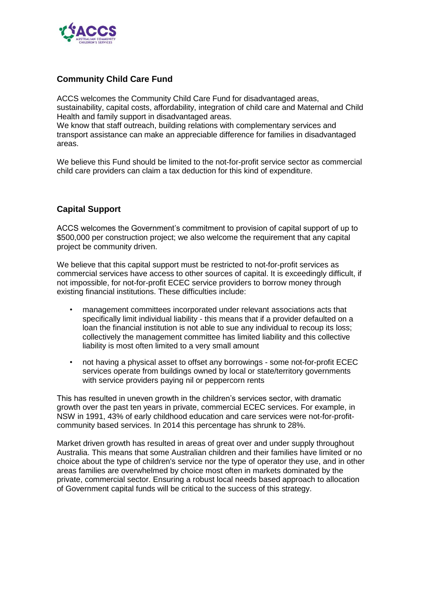

## **Community Child Care Fund**

ACCS welcomes the Community Child Care Fund for disadvantaged areas, sustainability, capital costs, affordability, integration of child care and Maternal and Child Health and family support in disadvantaged areas.

We know that staff outreach, building relations with complementary services and transport assistance can make an appreciable difference for families in disadvantaged areas.

We believe this Fund should be limited to the not-for-profit service sector as commercial child care providers can claim a tax deduction for this kind of expenditure.

## **Capital Support**

ACCS welcomes the Government's commitment to provision of capital support of up to \$500,000 per construction project; we also welcome the requirement that any capital project be community driven.

We believe that this capital support must be restricted to not-for-profit services as commercial services have access to other sources of capital. It is exceedingly difficult, if not impossible, for not-for-profit ECEC service providers to borrow money through existing financial institutions. These difficulties include:

- management committees incorporated under relevant associations acts that specifically limit individual liability - this means that if a provider defaulted on a loan the financial institution is not able to sue any individual to recoup its loss; collectively the management committee has limited liability and this collective liability is most often limited to a very small amount
- not having a physical asset to offset any borrowings some not-for-profit ECEC services operate from buildings owned by local or state/territory governments with service providers paying nil or peppercorn rents

This has resulted in uneven growth in the children's services sector, with dramatic growth over the past ten years in private, commercial ECEC services. For example, in NSW in 1991, 43% of early childhood education and care services were not-for-profitcommunity based services. In 2014 this percentage has shrunk to 28%.

Market driven growth has resulted in areas of great over and under supply throughout Australia. This means that some Australian children and their families have limited or no choice about the type of children's service nor the type of operator they use, and in other areas families are overwhelmed by choice most often in markets dominated by the private, commercial sector. Ensuring a robust local needs based approach to allocation of Government capital funds will be critical to the success of this strategy.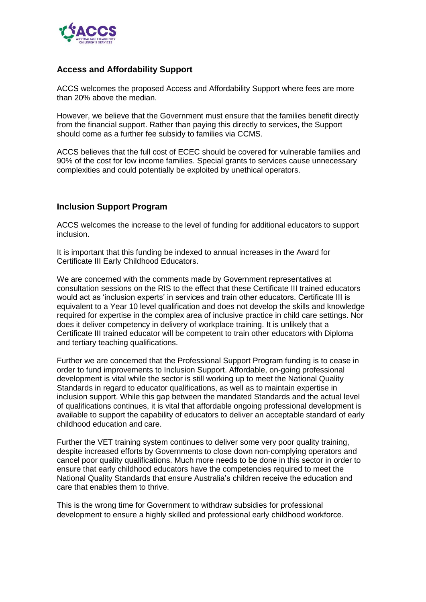

## **Access and Affordability Support**

ACCS welcomes the proposed Access and Affordability Support where fees are more than 20% above the median.

However, we believe that the Government must ensure that the families benefit directly from the financial support. Rather than paying this directly to services, the Support should come as a further fee subsidy to families via CCMS.

ACCS believes that the full cost of ECEC should be covered for vulnerable families and 90% of the cost for low income families. Special grants to services cause unnecessary complexities and could potentially be exploited by unethical operators.

## **Inclusion Support Program**

ACCS welcomes the increase to the level of funding for additional educators to support inclusion.

It is important that this funding be indexed to annual increases in the Award for Certificate III Early Childhood Educators.

We are concerned with the comments made by Government representatives at consultation sessions on the RIS to the effect that these Certificate III trained educators would act as 'inclusion experts' in services and train other educators. Certificate III is equivalent to a Year 10 level qualification and does not develop the skills and knowledge required for expertise in the complex area of inclusive practice in child care settings. Nor does it deliver competency in delivery of workplace training. It is unlikely that a Certificate III trained educator will be competent to train other educators with Diploma and tertiary teaching qualifications.

Further we are concerned that the Professional Support Program funding is to cease in order to fund improvements to Inclusion Support. Affordable, on-going professional development is vital while the sector is still working up to meet the National Quality Standards in regard to educator qualifications, as well as to maintain expertise in inclusion support. While this gap between the mandated Standards and the actual level of qualifications continues, it is vital that affordable ongoing professional development is available to support the capability of educators to deliver an acceptable standard of early childhood education and care.

Further the VET training system continues to deliver some very poor quality training, despite increased efforts by Governments to close down non-complying operators and cancel poor quality qualifications. Much more needs to be done in this sector in order to ensure that early childhood educators have the competencies required to meet the National Quality Standards that ensure Australia's children receive the education and care that enables them to thrive.

This is the wrong time for Government to withdraw subsidies for professional development to ensure a highly skilled and professional early childhood workforce.